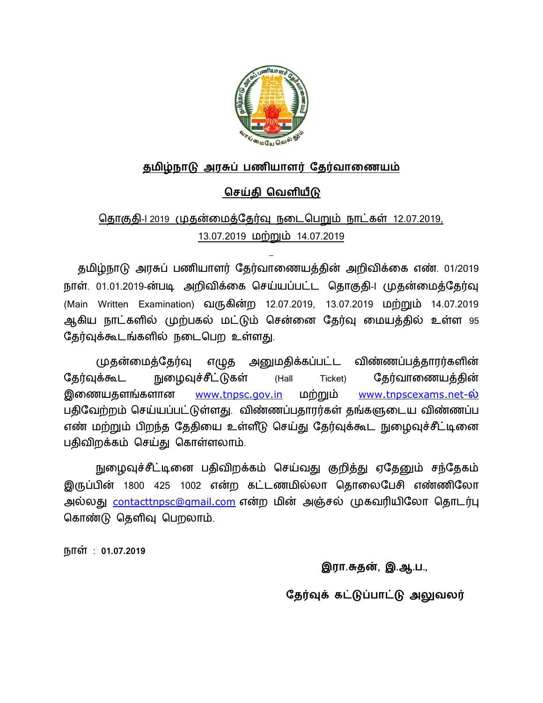

### தமிழ்நாடு அரசுப் பணியாளர் தேர்வாணையம்

## **ெசதி ெவளய**

# தொகுதி-1 2019 முதன்மைத்தேர்வு நடைபெறும் நாட்கள் 12.07.2019, 13.07.2019 மற்றும் 14.07.2019

தமிழ்நாடு அரசுப் பணியாளர் தேர்வாணையத்தின் அறிவிக்கை எண். 01/2019 நாள். 01.01.2019-ன்படி அறிவிக்கை செய்யப்பட்ட தொகுதி-I முதன்மைத்தேர்வு (Main Written Examination) வருகின்ற 12.07.2019, 13.07.2019 மற்றும் 14.07.2019 ஆகிய நாட்களில் முற்பகல் மட்டும் சென்னை தேர்வு மையத்தில் உள்ள 95 தேர்வுக்கூடங்களில் நடைபெற உள்ளது.

முதன்மைத்தேர்வு எழுத அனுமதிக்கப்பட்ட விண்ணப்பத்தாரர்களின் தேர்வுக்கூட நுழைவுச்சீட்டுகள் (Hall Ticket) தேர்வாணையத்தின் <u>இணையதளங்களான [www.tnpsc.gov.in](http://www.tnpsc.gov.in)</u> மற்றும் <u>[www.tnpscexams.net-](http://www.tnpscexams.net-)ல்</u> பதிவேற்றம் செய்யப்பட்டுள்ளது. விண்ணப்பதாரர்கள் தங்களுடைய விண்ணப்ப எண் மற்றும் பிறந்த தேதியை உள்ளீடு செய்து தேர்வுக்கூட நுழைவுச்சீட்டினை பதிவிறக்கம் செய்து கொள்ளலாம்.

நுழைவுச்சீட்டினை பதிவிறக்கம் செய்வது குறித்து ஏதேனும் சந்தேகம் இருப்பின் 1800 425 1002 என்ற கட்டணமில்லா தொலைபேசி எண்ணிலோ அல்லது <u>[contacttnpsc@gmail.com](mailto:contacttnpsc@gmail.com)</u> என்ற மின் அஞ்சல் முகவரியிலோ தொடர்பு கொண்டு தெளிவு பெறலாம்.

நா : **01.07.2019**

**இரா.த}, இ.ஆ.ப.,**

தேர்வுக் கட்டுப்பாட்டு அலுவலர்